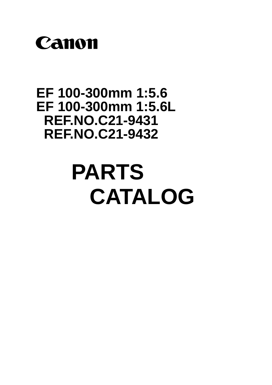

## **EF 100-300mm 1:5.6 EF 100-300mm 1:5.6L REF.NO.C21-9431 REF.NO.C21-9432**

# **PARTS CATALOG**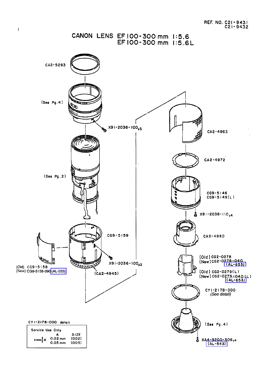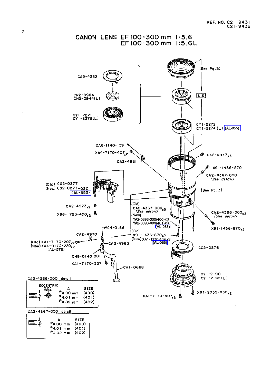

CANON LENS EF100-300 mm 1:5.6 EF100-300 mm 1:5.6L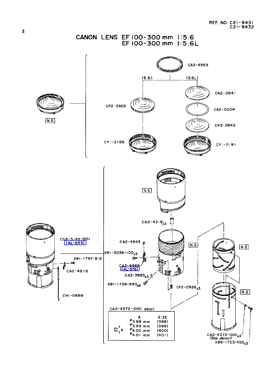

 $\sim$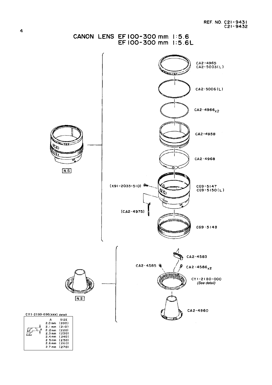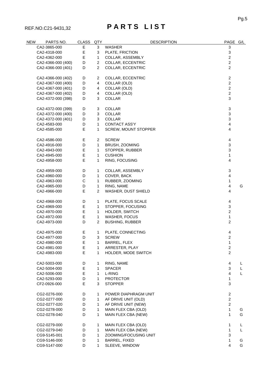### REF.NO.C21-9431,32 **P A R T S L I S T**

| NEW | PARTS NO.                    | <b>CLASS</b> | QTY               | <b>DESCRIPTION</b>     | PAGE G/L                |   |
|-----|------------------------------|--------------|-------------------|------------------------|-------------------------|---|
|     | CA2-3865-000                 | Е            | 3                 | <b>WASHER</b>          | 3                       |   |
|     | CA2-4318-000                 | Е            | 3                 | PLATE, FRICTION        | 3                       |   |
|     | CA2-4362-000                 | E            | $\mathbf{1}$      | COLLAR, ASSEMBLY       | $\overline{c}$          |   |
|     | CA2-4366-000 (400)           | D            | $\overline{2}$    | COLLAR, ECCENTRIC      | $\overline{c}$          |   |
|     | CA2-4366-000 (401)           | D            | $\overline{2}$    | COLLAR, ECCENTRIC      | $\overline{2}$          |   |
|     |                              |              |                   |                        |                         |   |
|     | CA2-4366-000 (402)           | D            | $\overline{2}$    | COLLAR, ECCENTRIC      | $\overline{c}$          |   |
|     | CA2-4367-000 (400)           | D            | 4                 | COLLAR (OLD)           | $\overline{c}$          |   |
|     | CA2-4367-000 (401)           | D            | 4                 | COLLAR (OLD)           | $\overline{c}$          |   |
|     | CA2-4367-000 (402)           | D            | 4                 | COLLAR (OLD)           | $\overline{c}$          |   |
|     | CA2-4372-000 (398)           | D            | 3                 | <b>COLLAR</b>          | 3                       |   |
|     | CA2-4372-000 (399)           | D            | 3                 | <b>COLLAR</b>          | 3                       |   |
|     | CA2-4372-000 (400)           | D            | 3                 | COLLAR                 | 3                       |   |
|     | CA2-4372-000 (401)           | D            | 3                 | COLLAR                 | 3                       |   |
|     | CA2-4583-000                 | D            | 1                 | <b>CONTACT ASS'Y</b>   | $\overline{\mathbf{4}}$ |   |
|     |                              | E            |                   |                        |                         |   |
|     | CA2-4585-000                 |              | $\mathbf{1}$      | SCREW, MOUNT STOPPER   | $\overline{\mathbf{4}}$ |   |
|     | CA2-4586-000                 | E            | $\overline{2}$    | <b>SCREW</b>           | 4                       |   |
|     | CA2-4916-000                 | D            | $\mathbf{1}$      | BRUSH, ZOOMING         | 3                       |   |
|     | CA2-4943-000                 | E            | 1                 | STOPPER, RUBBER        | 3                       |   |
|     | CA2-4945-000                 | Е            | 1                 | <b>CUSHION</b>         | $\mathbf 1$             |   |
|     | CA2-4958-000                 | E            | $\mathbf{1}$      | RING, FOCUSING         | 4                       |   |
|     | CA2-4959-000                 | D            | $\mathbf{1}$      | COLLAR, ASSEMBLY       | 3                       |   |
|     | CA2-4960-000                 | D            | $\mathbf{1}$      | COVER, BACK            | $\overline{\mathbf{4}}$ |   |
|     | CA2-4963-000                 | $\mathsf C$  | $\mathbf{1}$      | RUBBER, ZOOMING        | $\mathbf 1$             |   |
|     | CA2-4965-000                 | D            | $\mathbf{1}$      | RING, NAME             | $\overline{\mathbf{4}}$ | G |
|     | CA2-4966-000                 | E            | $\overline{2}$    | WASHER, DUST SHIELD    | $\overline{\mathbf{4}}$ |   |
|     |                              |              |                   |                        |                         |   |
|     | CA2-4968-000                 | D            | $\mathbf{1}$      | PLATE, FOCUS SCALE     | 4                       |   |
|     | CA2-4969-000                 | Е            | $\mathbf{1}$      | STOPPER, FOCUSING      | 3                       |   |
|     | CA2-4970-000                 | Е            | $\mathbf{1}$      | HOLDER, SWITCH         | $\overline{c}$          |   |
|     | CA2-4972-000                 | E            | $\mathbf{1}$      | WASHER, FOCUS          | $\mathbf{1}$            |   |
|     | CA2-4973-000                 | D            | $\overline{2}$    | <b>BUSHING, RUBBER</b> | $\overline{c}$          |   |
|     | CA2-4975-000                 | Е            | $\mathbf{1}$      | PLATE, CONNECTING      | $\overline{\mathbf{4}}$ |   |
|     | CA2-4977-000                 | D            | 3                 | <b>SCREW</b>           | $\overline{c}$          |   |
|     | CA2-4980-000                 | Е            | 1.                | BARREL, FLEX           | 1                       |   |
|     | CA2-4981-000                 | Е            | 1                 | ARRESTER, PLAY         | 2                       |   |
|     | CA2-4983-000                 | E            | $\mathbf{1}$      | HOLDER, MODE SWITCH    | $\overline{2}$          |   |
|     | CA2-5003-000                 | D            | $\mathbf{1}$      | RING, NAME             | 4                       | L |
|     | CA2-5004-000                 | Е            | $\mathbf{1}$      | <b>SPACER</b>          | 3                       | L |
|     |                              | E            |                   | L-RING                 | $\overline{4}$          | L |
|     | CA2-5006-000                 |              | $\mathbf{1}$      | <b>PROTECTOR</b>       |                         |   |
|     | CA2-5293-000<br>CF2-0926-000 | D<br>Е       | $\mathbf{1}$<br>3 | <b>STOPPER</b>         | 1<br>3                  |   |
|     |                              |              |                   |                        |                         |   |
|     | CG2-0276-000                 | D            | 1                 | POWER DIAPHRAGM UNIT   | $\overline{c}$          |   |
|     | CG2-0277-000                 | D            | $\mathbf{1}$      | AF DRIVE UNIT (OLD)    | $\overline{2}$          |   |
|     | CG2-0277-020                 | D            | $\mathbf{1}$      | AF DRIVE UNIT (NEW)    | $\overline{c}$          |   |
|     | CG2-0278-000                 | D            | $\mathbf{1}$      | MAIN FLEX CBA (OLD)    | $\mathbf{1}$            | G |
|     | CG2-0278-040                 | D            | $\mathbf{1}$      | MAIN FLEX CBA (NEW)    | 1                       | G |
|     | CG2-0279-000                 | D            | $\mathbf{1}$      | MAIN FLEX CBA (OLD)    | 1                       | L |
|     | CG2-0279-040                 | D            | $\mathbf{1}$      | MAIN FLEX CBA (NEW)    | $\mathbf 1$             | L |
|     | CG9-5145-001                 | D            | $\mathbf{1}$      | ZOOMING/FOCUSING UNIT  | 3                       |   |
|     | CG9-5146-000                 | D            | $\mathbf{1}$      | BARREL, FIXED          | 1                       | G |
|     | CG9-5147-000                 | D            | $\mathbf{1}$      | SLEEVE, WINDOW         | 4                       | G |
|     |                              |              |                   |                        |                         |   |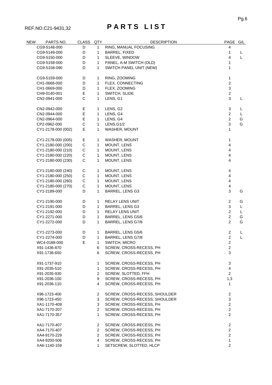### REF.NO.C21-9431,32 **P A R T S L I S T**

| <b>NEW</b>   | <b>PARTS NO.</b>                                                        | <b>CLASS</b>                                     | QTY                     | <b>DESCRIPTION</b>            | PAGE G/L                |   |
|--------------|-------------------------------------------------------------------------|--------------------------------------------------|-------------------------|-------------------------------|-------------------------|---|
|              | CG9-5148-000                                                            | D                                                | $\mathbf{1}$            | RING, MANUAL FOCUSING         | 4                       |   |
|              | CG9-5149-000                                                            | BARREL, FIXED<br>D<br>$\mathbf{1}$               |                         | 1                             | L                       |   |
|              | CG9-5150-000                                                            | D<br>$\mathbf{1}$                                |                         | SLEEVE, WINDOW                | 4                       | L |
|              | D<br>$\mathbf{1}$<br>PANEL, A-M SWITCH (OLD)<br>CG9-5158-000            |                                                  |                         | 1                             |                         |   |
|              | D<br>CG9-5158-090<br>$\mathbf{1}$                                       |                                                  | SWITCH PANEL UNIT (NEW) | 1                             |                         |   |
|              |                                                                         |                                                  |                         |                               |                         |   |
|              | CG9-5159-000                                                            | D                                                | 1                       | RING, ZOOMING                 | 1                       |   |
|              | CH1-0668-000                                                            | D                                                | $\mathbf{1}$            | FLEX, CONNECTING              | $\boldsymbol{2}$        |   |
|              | D<br>$\mathbf{1}$<br>FLEX, ZOOMING<br>CH1-0669-000<br>Е<br>CH9-0140-001 |                                                  |                         | 3                             |                         |   |
|              |                                                                         |                                                  | $\mathbf{1}$            | SWITCH, SLIDE                 | $\overline{c}$          |   |
| CN2-0941-000 |                                                                         | $\mathsf{C}$                                     | 1                       | LENS, G1                      | 3                       | L |
|              | CN2-0942-000                                                            | Е                                                | $\mathbf{1}$            | LENS, G2                      | 3                       | L |
|              | CN2-0944-000                                                            | Е                                                | 1                       | LENS, G4                      | $\overline{2}$          | L |
|              | CN2-0964-000                                                            | Е                                                | $\mathbf{1}$            | LENS, G4                      | $\boldsymbol{2}$        | G |
|              | CP2-0962-000                                                            | C                                                | $\mathbf{1}$            | LENS, G1/2                    | 3                       | G |
|              | CY1-2178-000 (002)                                                      | Е                                                | $\mathbf{1}$            | WASHER, MOUNT                 | 1                       |   |
|              |                                                                         |                                                  |                         |                               |                         |   |
|              | CY1-2178-000 (005)                                                      | Е                                                | $\mathbf{1}$            | WASHER, MOUNT                 | 1                       |   |
|              | CY1-2180-000 (200)                                                      | $\mathsf C$                                      | $\mathbf{1}$            | MOUNT, LENS                   | $\overline{\mathbf{4}}$ |   |
|              | CY1-2180-000 (210)                                                      | $\mathsf C$                                      | $\mathbf{1}$            | MOUNT, LENS                   | $\overline{\mathbf{4}}$ |   |
|              | CY1-2180-000 (220)                                                      | C                                                | $\mathbf{1}$            | MOUNT, LENS                   | $\overline{\mathbf{4}}$ |   |
|              | CY1-2180-000 (230)                                                      | C                                                | $\mathbf{1}$            | MOUNT, LENS                   | 4                       |   |
|              | CY1-2180-000 (240)                                                      | C                                                | $\mathbf{1}$            | MOUNT, LENS                   | 4                       |   |
|              | CY1-2180-000 (250)                                                      | C                                                | $\mathbf{1}$            | MOUNT, LENS                   | $\overline{\mathbf{4}}$ |   |
|              | CY1-2180-000 (260)                                                      | $\mathsf C$                                      | $\mathbf{1}$            | MOUNT, LENS                   | $\overline{\mathbf{4}}$ |   |
|              | CY1-2180-000 (270)                                                      | $\mathsf C$                                      | $\mathbf{1}$            | MOUNT, LENS                   | $\overline{\mathbf{4}}$ |   |
|              | CY1-2189-000                                                            | D                                                | $\mathbf{1}$            | BARREL, LENS G3               | 3                       | G |
|              | CY1-2190-000                                                            | D                                                | 1                       | RELAY LENS UNIT               | $\overline{2}$          | G |
|              | CY1-2191-000                                                            | D                                                | $\mathbf{1}$            | <b>BARREL, LENS G3</b>        | $\sqrt{3}$              | L |
|              | CY1-2192-000                                                            | D                                                | $\mathbf{1}$            | <b>RELAY LENS UNIT</b>        | $\overline{2}$          | L |
|              | CY1-2271-000                                                            |                                                  |                         |                               | $\overline{2}$          | G |
|              | CY1-2272-000                                                            | D<br>1<br>BARREL, LENS G5/6<br>D<br>$\mathbf{1}$ |                         | BARREL, LENS G7/8             | $\overline{2}$          | G |
|              |                                                                         |                                                  |                         |                               |                         |   |
|              | CY1-2273-000                                                            | D                                                | $\mathbf{1}$            | BARREL, LENS G5/6             | $\overline{2}$          | L |
|              | CY1-2274-000                                                            | D                                                | $\mathbf{1}$            | BARREL, LENS G7/8             | $\overline{2}$          | L |
|              | WC4-0188-000                                                            | Е                                                | 1                       | SWITCH, MICRO                 | $\overline{2}$          |   |
|              | X91-1436-870                                                            |                                                  | 6                       | SCREW, CROSS-RECESS, PH       | 2                       |   |
|              | X91-1736-650                                                            |                                                  | 6                       | SCREW, CROSS-RECESS, PH       | 3                       |   |
|              | X91-1737-910                                                            |                                                  | 1                       | SCREW, CROSS-RECESS, PH       | 3                       |   |
|              | X91-2035-510                                                            |                                                  | $\mathbf{1}$            | SCREW, CROSS-RECESS, PH       | $\overline{4}$          |   |
|              | X91-2035-930                                                            |                                                  | $\overline{2}$          | SCREW, SLOTTED, FFH           | $\overline{2}$          |   |
|              | X91-2036-100                                                            |                                                  | 9                       | SCREW, CROSS-RECESS, PH       | 1,3                     |   |
|              | X91-2036-110                                                            |                                                  | 4                       | SCREW, CROSS-RECESS, PH       | 1                       |   |
|              |                                                                         |                                                  |                         |                               |                         |   |
|              | X96-1723-400                                                            |                                                  | $\overline{2}$          | SCREW, CROSS-RECESS, SHOULDER | $\overline{c}$          |   |
|              | X96-1723-450                                                            |                                                  | 3                       | SCREW, CROSS-RECESS, SHOULDER | 3                       |   |
|              | XA1-1170-409                                                            |                                                  | $\mathbf{3}$            | SCREW, CROSS-RECESS, PH       | $\overline{2}$          |   |
|              | XA1-7170-207                                                            |                                                  | $\overline{a}$          | SCREW, CROSS-RECESS, PH       | $\overline{2}$          |   |
|              | XA1-7170-357                                                            |                                                  | 1                       | SCREW, CROSS-RECESS, PH       | $\mathbf{2}$            |   |
|              | XA1-7170-407                                                            |                                                  | $\overline{2}$          | SCREW, CROSS-RECESS, PH       | $\overline{c}$          |   |
|              | XA4-7170-407                                                            |                                                  | $\overline{2}$          | SCREW, CROSS-RECESS, PH       | $\sqrt{2}$              |   |
|              | XA4-9170-229                                                            |                                                  | $\overline{2}$          | SCREW, CROSS-RECESS, PH       | $\sqrt{2}$              |   |
|              | XA4-9200-506                                                            |                                                  | 4                       | SCREW, CROSS-RECESS, PH       | 1                       |   |
|              | XA6-1140-159                                                            |                                                  | 1                       | SETSCREW, SLOTTED, HLCP       | $\overline{2}$          |   |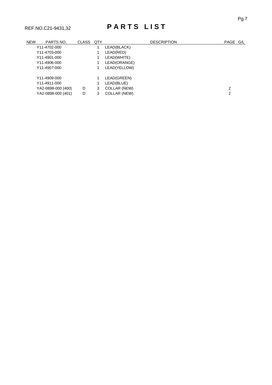### REF.NO.C21-9431,32 **P A R T S L I S T**

| <b>NEW</b> | PARTS NO.          | <b>CLASS</b> | QTY |              | <b>DESCRIPTION</b> | PAGE G/L |  |
|------------|--------------------|--------------|-----|--------------|--------------------|----------|--|
|            | Y11-4702-000       |              |     | LEAD(BLACK)  |                    |          |  |
|            | Y11-4703-000       |              |     | LEAD(RED)    |                    |          |  |
|            | Y11-4901-000       |              |     | LEAD(WHITE)  |                    |          |  |
|            | Y11-4906-000       |              |     | LEAD(ORANGE) |                    |          |  |
|            | Y11-4907-000       |              |     | LEAD(YELLOW) |                    |          |  |
|            | Y11-4909-000       |              |     | LEAD(GREEN)  |                    |          |  |
|            | Y11-4911-000       |              |     | LEAD(BLUE)   |                    |          |  |
|            | YA2-0898-000 (400) | D            | 3   | COLLAR (NEW) |                    | 2        |  |
|            | YA2-0898-000 (401) | D            | 3   | COLLAR (NEW) |                    | 2        |  |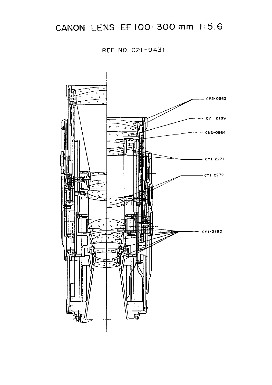### CANON LENS EF 100-300 mm 1:5.6

REF. NO. C21-9431